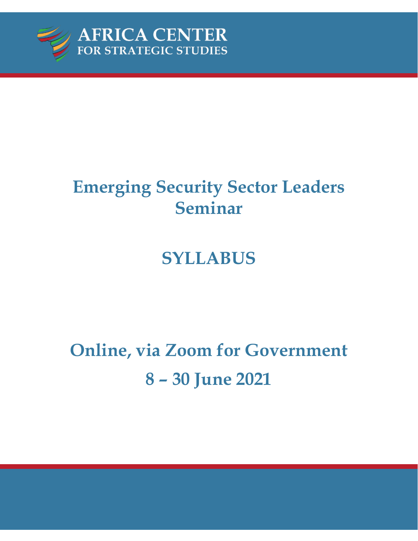

# **Emerging Security Sector Leaders Seminar**

# **SYLLABUS**

# **Online, via Zoom for Government 8** *–* **30 June 2021**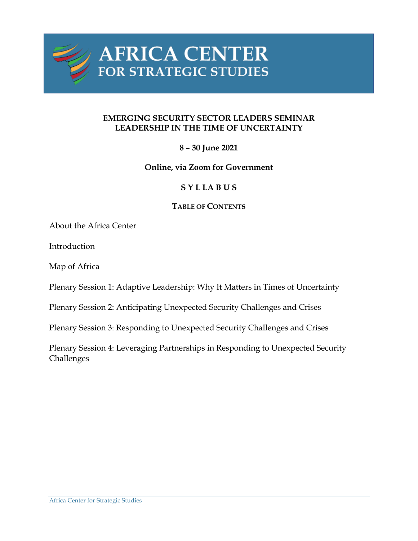

#### **EMERGING SECURITY SECTOR LEADERS SEMINAR LEADERSHIP IN THE TIME OF UNCERTAINTY**

# **8** *–* **30 June 2021**

## **Online, via Zoom for Government**

## **S Y L LA B U S**

#### **TABLE OF CONTENTS**

About the Africa Center

Introduction

Map of Africa

Plenary Session 1: Adaptive Leadership: Why It Matters in Times of Uncertainty

Plenary Session 2: Anticipating Unexpected Security Challenges and Crises

Plenary Session 3: Responding to Unexpected Security Challenges and Crises

Plenary Session 4: Leveraging Partnerships in Responding to Unexpected Security Challenges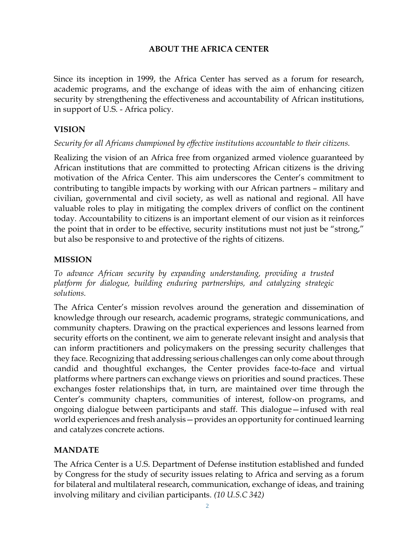### **ABOUT THE AFRICA CENTER**

Since its inception in 1999, the Africa Center has served as a forum for research, academic programs, and the exchange of ideas with the aim of enhancing citizen security by strengthening the effectiveness and accountability of African institutions, in support of U.S. - Africa policy.

#### **VISION**

#### *Security for all Africans championed by effective institutions accountable to their citizens.*

Realizing the vision of an Africa free from organized armed violence guaranteed by African institutions that are committed to protecting African citizens is the driving motivation of the Africa Center. This aim underscores the Center's commitment to contributing to tangible impacts by working with our African partners – military and civilian, governmental and civil society, as well as national and regional. All have valuable roles to play in mitigating the complex drivers of conflict on the continent today. Accountability to citizens is an important element of our vision as it reinforces the point that in order to be effective, security institutions must not just be "strong," but also be responsive to and protective of the rights of citizens.

#### **MISSION**

*To advance African security by expanding understanding, providing a trusted platform for dialogue, building enduring partnerships, and catalyzing strategic solutions.*

The Africa Center's mission revolves around the generation and dissemination of knowledge through our research, academic programs, strategic communications, and community chapters. Drawing on the practical experiences and lessons learned from security efforts on the continent, we aim to generate relevant insight and analysis that can inform practitioners and policymakers on the pressing security challenges that they face. Recognizing that addressing serious challenges can only come about through candid and thoughtful exchanges, the Center provides face-to-face and virtual platforms where partners can exchange views on priorities and sound practices. These exchanges foster relationships that, in turn, are maintained over time through the Center's community chapters, communities of interest, follow-on programs, and ongoing dialogue between participants and staff. This dialogue—infused with real world experiences and fresh analysis—provides an opportunity for continued learning and catalyzes concrete actions.

#### **MANDATE**

The Africa Center is a U.S. Department of Defense institution established and funded by Congress for the study of security issues relating to Africa and serving as a forum for bilateral and multilateral research, communication, exchange of ideas, and training involving military and civilian participants. *(10 U.S.C 342)*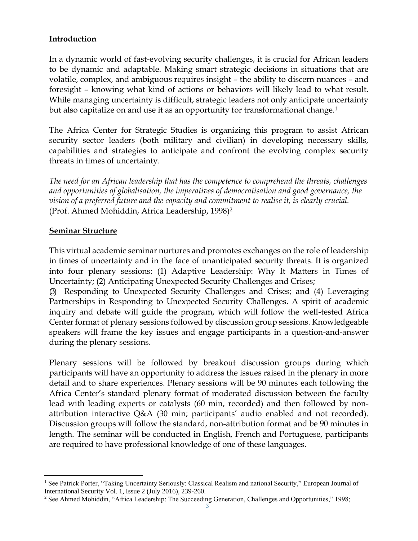#### **Introduction**

In a dynamic world of fast-evolving security challenges, it is crucial for African leaders to be dynamic and adaptable. Making smart strategic decisions in situations that are volatile, complex, and ambiguous requires insight – the ability to discern nuances – and foresight – knowing what kind of actions or behaviors will likely lead to what result. While managing uncertainty is difficult, strategic leaders not only anticipate uncertainty but also capitalize on and use it as an opportunity for transformational change.<sup>1</sup>

The Africa Center for Strategic Studies is organizing this program to assist African security sector leaders (both military and civilian) in developing necessary skills, capabilities and strategies to anticipate and confront the evolving complex security threats in times of uncertainty.

*The need for an African leadership that has the competence to comprehend the threats, challenges and opportunities of globalisation, the imperatives of democratisation and good governance, the vision of a preferred future and the capacity and commitment to realise it, is clearly crucial.*  (Prof. Ahmed Mohiddin, Africa Leadership, 1998)<sup>2</sup>

#### **Seminar Structure**

This virtual academic seminar nurtures and promotes exchanges on the role of leadership in times of uncertainty and in the face of unanticipated security threats. It is organized into four plenary sessions: (1) Adaptive Leadership: Why It Matters in Times of Uncertainty; (2) Anticipating Unexpected Security Challenges and Crises;

(3) Responding to Unexpected Security Challenges and Crises; and (4) Leveraging Partnerships in Responding to Unexpected Security Challenges. A spirit of academic inquiry and debate will guide the program, which will follow the well-tested Africa Center format of plenary sessions followed by discussion group sessions. Knowledgeable speakers will frame the key issues and engage participants in a question-and-answer during the plenary sessions.

Plenary sessions will be followed by breakout discussion groups during which participants will have an opportunity to address the issues raised in the plenary in more detail and to share experiences. Plenary sessions will be 90 minutes each following the Africa Center's standard plenary format of moderated discussion between the faculty lead with leading experts or catalysts (60 min, recorded) and then followed by nonattribution interactive Q&A (30 min; participants' audio enabled and not recorded). Discussion groups will follow the standard, non-attribution format and be 90 minutes in length. The seminar will be conducted in English, French and Portuguese, participants are required to have professional knowledge of one of these languages.

<sup>&</sup>lt;sup>1</sup> See Patrick Porter, "Taking Uncertainty Seriously: Classical Realism and national Security," European Journal of International Security Vol. 1, Issue 2 (July 2016), 239-260.

<sup>&</sup>lt;sup>2</sup> See Ahmed Mohiddin, "Africa Leadership: The Succeeding Generation, Challenges and Opportunities," 1998;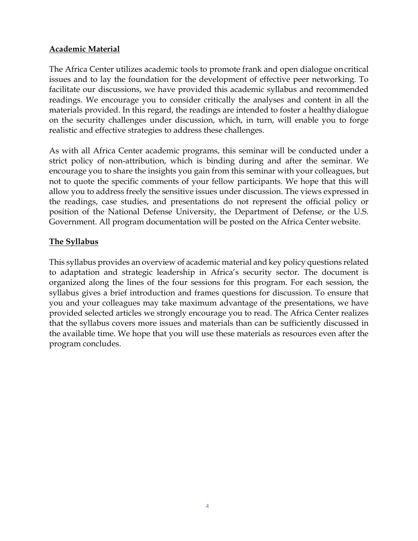# **Academic Material**

The Africa Center utilizes academic tools to promote frank and open dialogue oncritical issues and to lay the foundation for the development of effective peer networking. To facilitate our discussions, we have provided this academic syllabus and recommended readings. We encourage you to consider critically the analyses and content in all the materials provided. In this regard, the readings are intended to foster a healthydialogue on the security challenges under discussion, which, in turn, will enable you to forge realistic and effective strategies to address these challenges.

As with all Africa Center academic programs, this seminar will be conducted under a strict policy of non-attribution, which is binding during and after the seminar. We encourage you to share the insights you gain from this seminar with your colleagues, but not to quote the specific comments of your fellow participants. We hope that this will allow you to address freely the sensitive issues under discussion. The views expressed in the readings, case studies, and presentations do not represent the official policy or position of the National Defense University, the Department of Defense, or the U.S. Government. All program documentation will be posted on the Africa Center website.

# **The Syllabus**

This syllabus provides an overview of academic material and key policy questions related to adaptation and strategic leadership in Africa's security sector. The document is organized along the lines of the four sessions for this program. For each session, the syllabus gives a brief introduction and frames questions for discussion. To ensure that you and your colleagues may take maximum advantage of the presentations, we have provided selected articles we strongly encourage you to read. The Africa Center realizes that the syllabus covers more issues and materials than can be sufficiently discussed in the available time. We hope that you will use these materials as resources even after the program concludes.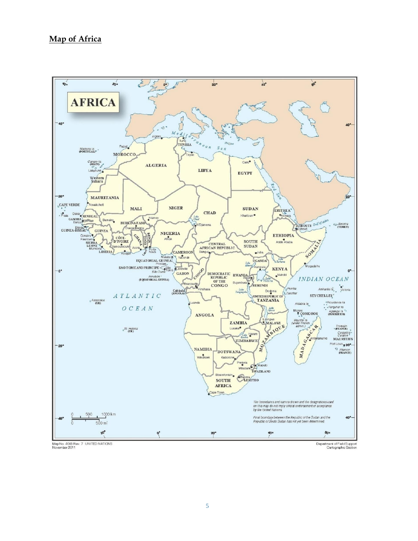#### **Map of Africa**

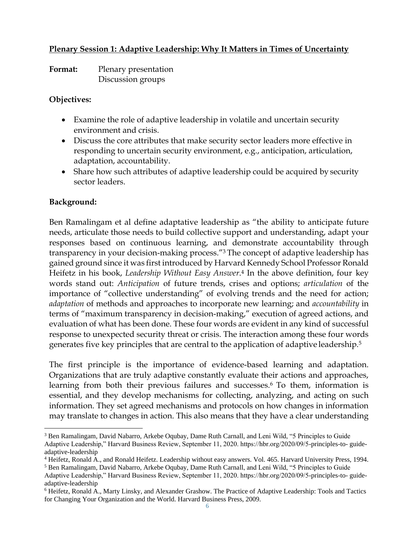# **Plenary Session 1: Adaptive Leadership: Why It Matters in Times of Uncertainty**

**Format:** Plenary presentation Discussion groups

#### **Objectives:**

- Examine the role of adaptive leadership in volatile and uncertain security environment and crisis.
- Discuss the core attributes that make security sector leaders more effective in responding to uncertain security environment, e.g., anticipation, articulation, adaptation, accountability.
- Share how such attributes of adaptive leadership could be acquired by security sector leaders.

## **Background:**

Ben Ramalingam et al define adaptative leadership as "the ability to anticipate future needs, articulate those needs to build collective support and understanding, adapt your responses based on continuous learning, and demonstrate accountability through transparency in your decision-making process."<sup>3</sup> The concept of adaptive leadership has gained ground since it was first introduced by Harvard Kennedy School Professor Ronald Heifetz in his book, *Leadership Without Easy Answer*. <sup>4</sup> In the above definition, four key words stand out: *Anticipation* of future trends, crises and options; *articulation* of the importance of "collective understanding" of evolving trends and the need for action; *adaptation* of methods and approaches to incorporate new learning; and *accountability* in terms of "maximum transparency in decision-making," execution of agreed actions, and evaluation of what has been done. These four words are evident in any kind of successful response to unexpected security threat or crisis. The interaction among these four words generates five key principles that are central to the application of adaptive leadership.<sup>5</sup>

The first principle is the importance of evidence-based learning and adaptation. Organizations that are truly adaptive constantly evaluate their actions and approaches, learning from both their previous failures and successes.<sup>6</sup> To them, information is essential, and they develop mechanisms for collecting, analyzing, and acting on such information. They set agreed mechanisms and protocols on how changes in information may translate to changes in action. This also means that they have a clear understanding

<sup>&</sup>lt;sup>3</sup> Ben Ramalingam, David Nabarro, Arkebe Oqubay, Dame Ruth Carnall, and Leni Wild, "5 Principles to Guide Adaptive Leadership," Harvard Business Review, September 11, 2020. https://hbr.org/2020/09/5-principles-to- guideadaptive-leadership

<sup>4</sup> Heifetz, Ronald A., and Ronald Heifetz. Leadership without easy answers. Vol. 465. Harvard University Press, 1994.

<sup>5</sup> Ben Ramalingam, David Nabarro, Arkebe Oqubay, Dame Ruth Carnall, and Leni Wild, "5 Principles to Guide

Adaptive Leadership," Harvard Business Review, September 11, 2020. https://hbr.org/2020/09/5-principles-to- guideadaptive-leadership

<sup>6</sup> Heifetz, Ronald A., Marty Linsky, and Alexander Grashow. The Practice of Adaptive Leadership: Tools and Tactics for Changing Your Organization and the World. Harvard Business Press, 2009.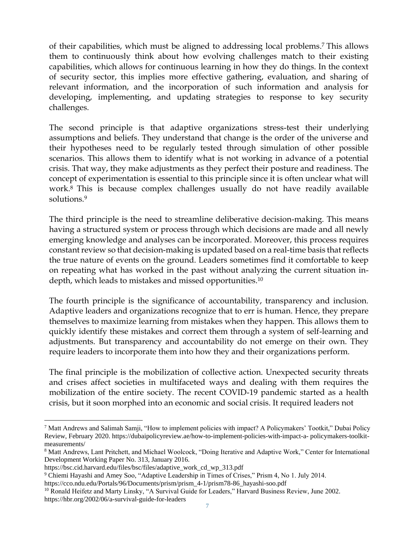of their capabilities, which must be aligned to addressing local problems. <sup>7</sup> This allows them to continuously think about how evolving challenges match to their existing capabilities, which allows for continuous learning in how they do things. In the context of security sector, this implies more effective gathering, evaluation, and sharing of relevant information, and the incorporation of such information and analysis for developing, implementing, and updating strategies to response to key security challenges.

The second principle is that adaptive organizations stress-test their underlying assumptions and beliefs. They understand that change is the order of the universe and their hypotheses need to be regularly tested through simulation of other possible scenarios. This allows them to identify what is not working in advance of a potential crisis. That way, they make adjustments as they perfect their posture and readiness. The concept of experimentation is essential to this principle since it is often unclear what will work.<sup>8</sup> This is because complex challenges usually do not have readily available solutions.<sup>9</sup>

The third principle is the need to streamline deliberative decision-making. This means having a structured system or process through which decisions are made and all newly emerging knowledge and analyses can be incorporated. Moreover, this process requires constant review so that decision-making is updated based on a real-time basis that reflects the true nature of events on the ground. Leaders sometimes find it comfortable to keep on repeating what has worked in the past without analyzing the current situation indepth, which leads to mistakes and missed opportunities.<sup>10</sup>

The fourth principle is the significance of accountability, transparency and inclusion. Adaptive leaders and organizations recognize that to err is human. Hence, they prepare themselves to maximize learning from mistakes when they happen. This allows them to quickly identify these mistakes and correct them through a system of self-learning and adjustments. But transparency and accountability do not emerge on their own. They require leaders to incorporate them into how they and their organizations perform.

The final principle is the mobilization of collective action. Unexpected security threats and crises affect societies in multifaceted ways and dealing with them requires the mobilization of the entire society. The recent COVID-19 pandemic started as a health crisis, but it soon morphed into an economic and social crisis. It required leaders not

<sup>7</sup> Matt Andrews and Salimah Samji, "How to implement policies with impact? A Policymakers' Tootkit," Dubai Policy Review, February 2020. https://dubaipolicyreview.ae/how-to-implement-policies-with-impact-a- policymakers-toolkitmeasurements/

<sup>8</sup> Matt Andrews, Lant Pritchett, and Michael Woolcock, "Doing Iterative and Adaptive Work," Center for International Development Working Paper No. 313, January 2016.

https://bsc.cid.harvard.edu/files/bsc/files/adaptive\_work\_cd\_wp\_313.pdf

<sup>9</sup> Chiemi Hayashi and Amey Soo, "Adaptive Leadership in Times of Crises," Prism 4, No 1. July 2014. https://cco.ndu.edu/Portals/96/Documents/prism/prism\_4-1/prism78-86\_hayashi-soo.pdf

<sup>&</sup>lt;sup>10</sup> Ronald Heifetz and Marty Linsky, "A Survival Guide for Leaders," Harvard Business Review, June 2002. https://hbr.org/2002/06/a-survival-guide-for-leaders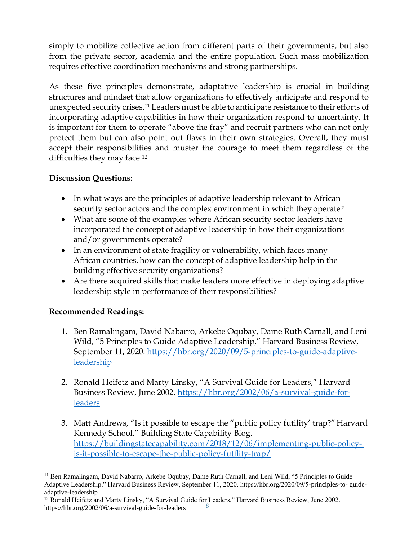simply to mobilize collective action from different parts of their governments, but also from the private sector, academia and the entire population. Such mass mobilization requires effective coordination mechanisms and strong partnerships.

As these five principles demonstrate, adaptative leadership is crucial in building structures and mindset that allow organizations to effectively anticipate and respond to unexpected security crises.<sup>11</sup> Leaders must be able to anticipate resistance to their efforts of incorporating adaptive capabilities in how their organization respond to uncertainty. It is important for them to operate "above the fray" and recruit partners who can not only protect them but can also point out flaws in their own strategies. Overall, they must accept their responsibilities and muster the courage to meet them regardless of the difficulties they may face.<sup>12</sup>

# **Discussion Questions:**

- In what ways are the principles of adaptive leadership relevant to African security sector actors and the complex environment in which they operate?
- What are some of the examples where African security sector leaders have incorporated the concept of adaptive leadership in how their organizations and/or governments operate?
- In an environment of state fragility or vulnerability, which faces many African countries, how can the concept of adaptive leadership help in the building effective security organizations?
- Are there acquired skills that make leaders more effective in deploying adaptive leadership style in performance of their responsibilities?

# **Recommended Readings:**

- 1. Ben Ramalingam, David Nabarro, Arkebe Oqubay, Dame Ruth Carnall, and Leni Wild, "5 Principles to Guide Adaptive Leadership," Harvard Business Review, September 11, 2020. [https://hbr.org/2020/09/5-principles-to-guide-adaptive](https://hbr.org/2020/09/5-principles-to-guide-adaptive-leadership)[leadership](https://hbr.org/2020/09/5-principles-to-guide-adaptive-leadership)
- 2. Ronald Heifetz and Marty Linsky, "A Survival Guide for Leaders," Harvard Business Review, June 2002. [https://hbr.org/2002/06/a-survival-guide-for](https://hbr.org/2002/06/a-survival-guide-for-leaders)[leaders](https://hbr.org/2002/06/a-survival-guide-for-leaders)
- 3. Matt Andrews, "Is it possible to escape the "public policy futility' trap?" Harvard Kennedy School," Building State Capability Blog. [https://buildingstatecapability.com/2018/12/06/implementing-public-policy](https://buildingstatecapability.com/2018/12/06/implementing-public-policy-is-it-possible-to-escape-the-public-policy-futility-trap/)[is-it-possible-to-escape-the-public-policy-futility-trap/](https://buildingstatecapability.com/2018/12/06/implementing-public-policy-is-it-possible-to-escape-the-public-policy-futility-trap/)

<sup>&</sup>lt;sup>11</sup> Ben Ramalingam, David Nabarro, Arkebe Oqubay, Dame Ruth Carnall, and Leni Wild, "5 Principles to Guide Adaptive Leadership," Harvard Business Review, September 11, 2020. https://hbr.org/2020/09/5-principles-to- guideadaptive-leadership

<sup>8</sup> <sup>12</sup> Ronald Heifetz and Marty Linsky, "A Survival Guide for Leaders," Harvard Business Review, June 2002. https://hbr.org/2002/06/a-survival-guide-for-leaders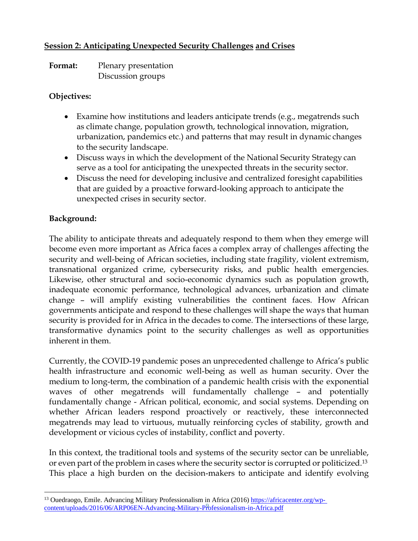## **Session 2: Anticipating Unexpected Security Challenges and Crises**

**Format:** Plenary presentation Discussion groups

#### **Objectives:**

- Examine how institutions and leaders anticipate trends (e.g., megatrends such as climate change, population growth, technological innovation, migration, urbanization, pandemics etc.) and patterns that may result in dynamic changes to the security landscape.
- Discuss ways in which the development of the National Security Strategy can serve as a tool for anticipating the unexpected threats in the security sector.
- Discuss the need for developing inclusive and centralized foresight capabilities that are guided by a proactive forward-looking approach to anticipate the unexpected crises in security sector.

## **Background:**

The ability to anticipate threats and adequately respond to them when they emerge will become even more important as Africa faces a complex array of challenges affecting the security and well-being of African societies, including state fragility, violent extremism, transnational organized crime, cybersecurity risks, and public health emergencies. Likewise, other structural and socio-economic dynamics such as population growth, inadequate economic performance, technological advances, urbanization and climate change – will amplify existing vulnerabilities the continent faces. How African governments anticipate and respond to these challenges will shape the ways that human security is provided for in Africa in the decades to come. The intersections of these large, transformative dynamics point to the security challenges as well as opportunities inherent in them.

Currently, the COVID-19 pandemic poses an unprecedented challenge to Africa's public health infrastructure and economic well-being as well as human security. Over the medium to long-term, the combination of a pandemic health crisis with the exponential waves of other megatrends will fundamentally challenge – and potentially fundamentally change - African political, economic, and social systems. Depending on whether African leaders respond proactively or reactively, these interconnected megatrends may lead to virtuous, mutually reinforcing cycles of stability, growth and development or vicious cycles of instability, conflict and poverty.

In this context, the traditional tools and systems of the security sector can be unreliable, or even part of the problem in cases where the security sector is corrupted or politicized.<sup>13</sup> This place a high burden on the decision-makers to anticipate and identify evolving

[content/uploads/2016/06/ARP06EN-Advancing-Military-Professionalism-in-Africa.pdf](https://africacenter.org/wp-%20content/uploads/2016/06/ARP06EN-Advancing-Military-Professionalism-in-Africa.pdf) <sup>13</sup> Ouedraogo, Emile. Advancing Military Professionalism in Africa (2016[\) https://africacenter.org/wp-](https://africacenter.org/wp-%20content/uploads/2016/06/ARP06EN-Advancing-Military-Professionalism-in-Africa.pdf)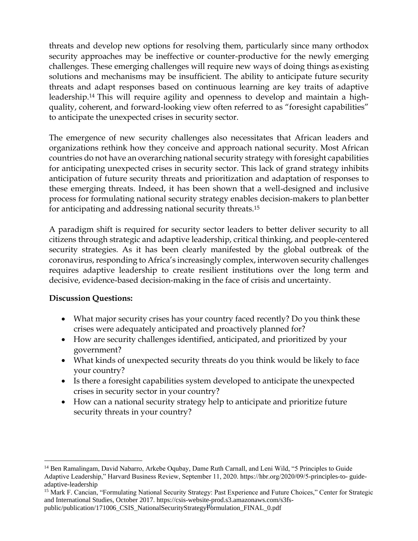threats and develop new options for resolving them, particularly since many orthodox security approaches may be ineffective or counter-productive for the newly emerging challenges. These emerging challenges will require new ways of doing things as existing solutions and mechanisms may be insufficient. The ability to anticipate future security threats and adapt responses based on continuous learning are key traits of adaptive leadership.<sup>14</sup> This will require agility and openness to develop and maintain a highquality, coherent, and forward-looking view often referred to as "foresight capabilities" to anticipate the unexpected crises in security sector.

The emergence of new security challenges also necessitates that African leaders and organizations rethink how they conceive and approach national security. Most African countries do not have an overarching national security strategy with foresight capabilities for anticipating unexpected crises in security sector. This lack of grand strategy inhibits anticipation of future security threats and prioritization and adaptation of responses to these emerging threats. Indeed, it has been shown that a well-designed and inclusive process for formulating national security strategy enables decision-makers to planbetter for anticipating and addressing national security threats.<sup>15</sup>

A paradigm shift is required for security sector leaders to better deliver security to all citizens through strategic and adaptive leadership, critical thinking, and people-centered security strategies. As it has been clearly manifested by the global outbreak of the coronavirus, responding to Africa's increasingly complex, interwoven security challenges requires adaptive leadership to create resilient institutions over the long term and decisive, evidence-based decision-making in the face of crisis and uncertainty.

## **Discussion Questions:**

- What major security crises has your country faced recently? Do you think these crises were adequately anticipated and proactively planned for?
- How are security challenges identified, anticipated, and prioritized by your government?
- What kinds of unexpected security threats do you think would be likely to face your country?
- Is there a foresight capabilities system developed to anticipate the unexpected crises in security sector in your country?
- How can a national security strategy help to anticipate and prioritize future security threats in your country?

<sup>14</sup> Ben Ramalingam, David Nabarro, Arkebe Oqubay, Dame Ruth Carnall, and Leni Wild, "5 Principles to Guide Adaptive Leadership," Harvard Business Review, September 11, 2020. https://hbr.org/2020/09/5-principles-to- guideadaptive-leadership

public/publication/171006\_CSIS\_NationalSecurityStrategyf<sup>{{b}{6}</sup>rmulation\_FINAL\_0.pdf <sup>15</sup> Mark F. Cancian, "Formulating National Security Strategy: Past Experience and Future Choices," Center for Strategic and International Studies, October 2017. https://csis-website-prod.s3.amazonaws.com/s3fs-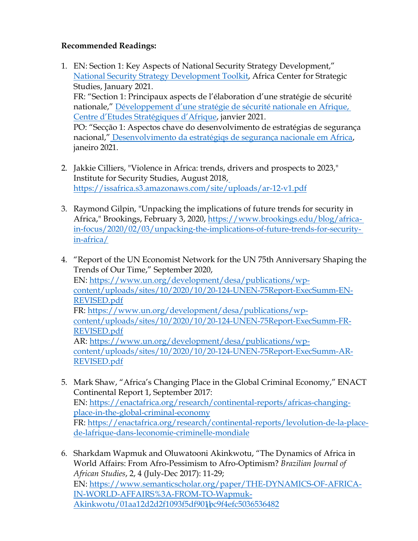## **Recommended Readings:**

- 1. EN: Section 1: Key Aspects of National Security Strategy Development," [National](https://africacenter.org/wp-content/uploads/2021/01/National-Security-Strategy-Development-in-Africa-Toolkit-for-Drafting-and-Consultation-Africa-Center-for-Strategic-Studies.pdf) [Security Strategy Development Toolkit,](https://africacenter.org/wp-content/uploads/2021/01/National-Security-Strategy-Development-in-Africa-Toolkit-for-Drafting-and-Consultation-Africa-Center-for-Strategic-Studies.pdf) Africa Center for Strategic Studies, January 2021. FR: "Section 1: Principaux aspects de l'élaboration d'une stratégie de sécurité nationale," Dé[veloppement d'une stratégie de sécurité nationale en](https://africacenter.org/wp-content/uploads/2021/01/Developpement-dune-strategie-de-securite-nationale-en-Afrique-outil-de-consultation-et-de-redaction-CESA.pdf) [Afrique,](https://africacenter.org/wp-content/uploads/2021/01/Developpement-dune-strategie-de-securite-nationale-en-Afrique-outil-de-consultation-et-de-redaction-CESA.pdf)  [Centre d'Etudes Stratégiques d'Afrique](https://africacenter.org/wp-content/uploads/2021/01/Developpement-dune-strategie-de-securite-nationale-en-Afrique-outil-de-consultation-et-de-redaction-CESA.pdf), janvier 2021. PO: "Secção 1: Aspectos chave do desenvolvimento de estratégias de segurança nacional," [Desenvolvimento da estratégiqs de segurança nacionale em Africa,](https://africacenter.org/wp-content/uploads/2021/02/Desenvolvimento-da-Estrategias-de-Seguranca-Nacional-em-Africa-Um-kit-de-ferramentas-para-consulta-e-preparacao.pdf) janeiro 2021.
- 2. Jakkie Cilliers, "Violence in Africa: trends, drivers and prospects to 2023," Institute for Security Studies, August 2018, <https://issafrica.s3.amazonaws.com/site/uploads/ar-12-v1.pdf>
- 3. Raymond Gilpin, "Unpacking the implications of future trends for security in Africa," Brookings, February 3, 2020, [https://www.brookings.edu/blog/africa](https://www.brookings.edu/blog/africa-in-focus/2020/02/03/unpacking-the-implications-of-future-trends-for-security-in-africa/)[in-focus/2020/02/03/unpacking-the-implications-of-future-trends-for-security](https://www.brookings.edu/blog/africa-in-focus/2020/02/03/unpacking-the-implications-of-future-trends-for-security-in-africa/)[in-africa/](https://www.brookings.edu/blog/africa-in-focus/2020/02/03/unpacking-the-implications-of-future-trends-for-security-in-africa/)
- 4. "Report of the UN Economist Network for the UN 75th Anniversary Shaping the Trends of Our Time," September 2020, EN: [https://www.un.org/development/desa/publications/wp](https://www.un.org/development/desa/publications/wp-content/uploads/sites/10/2020/10/20-124-UNEN-75Report-ExecSumm-EN-REVISED.pdf)[content/uploads/sites/10/2020/10/20-124-UNEN-75Report-ExecSumm-EN-](https://www.un.org/development/desa/publications/wp-content/uploads/sites/10/2020/10/20-124-UNEN-75Report-ExecSumm-EN-REVISED.pdf)[REVISED.pdf](https://www.un.org/development/desa/publications/wp-content/uploads/sites/10/2020/10/20-124-UNEN-75Report-ExecSumm-EN-REVISED.pdf) FR: [https://www.un.org/development/desa/publications/wp](https://www.un.org/development/desa/publications/wp-content/uploads/sites/10/2020/10/20-124-UNEN-75Report-ExecSumm-FR-REVISED.pdf)[content/uploads/sites/10/2020/10/20-124-UNEN-75Report-ExecSumm-FR-](https://www.un.org/development/desa/publications/wp-content/uploads/sites/10/2020/10/20-124-UNEN-75Report-ExecSumm-FR-REVISED.pdf)[REVISED.pdf](https://www.un.org/development/desa/publications/wp-content/uploads/sites/10/2020/10/20-124-UNEN-75Report-ExecSumm-FR-REVISED.pdf) AR: [https://www.un.org/development/desa/publications/wp](https://www.un.org/development/desa/publications/wp-content/uploads/sites/10/2020/10/20-124-UNEN-75Report-ExecSumm-AR-REVISED.pdf)[content/uploads/sites/10/2020/10/20-124-UNEN-75Report-ExecSumm-AR-](https://www.un.org/development/desa/publications/wp-content/uploads/sites/10/2020/10/20-124-UNEN-75Report-ExecSumm-AR-REVISED.pdf)[REVISED.pdf](https://www.un.org/development/desa/publications/wp-content/uploads/sites/10/2020/10/20-124-UNEN-75Report-ExecSumm-AR-REVISED.pdf)
- 5. Mark Shaw, "Africa's Changing Place in the Global Criminal Economy," ENACT Continental Report 1, September 2017: EN: [https://enactafrica.org/research/continental-reports/africas-changing](https://enactafrica.org/research/continental-reports/africas-changing-place-in-the-global-criminal-economy)[place-in-the-global-criminal-economy](https://enactafrica.org/research/continental-reports/africas-changing-place-in-the-global-criminal-economy) FR: [https://enactafrica.org/research/continental-reports/levolution-de-la-place](https://enactafrica.org/research/continental-reports/levolution-de-la-place-de-lafrique-dans-leconomie-criminelle-mondiale)[de-lafrique-dans-leconomie-criminelle-mondiale](https://enactafrica.org/research/continental-reports/levolution-de-la-place-de-lafrique-dans-leconomie-criminelle-mondiale)
- <u>[Akinkwotu/01aa12d2d2f1093f5df901bc9f4efc5036536482](https://www.semanticscholar.org/paper/THE-DYNAMICS-OF-AFRICA-IN-WORLD-AFFAIRS%3A-FROM-TO-Wapmuk-Akinkwotu/01aa12d2d2f1093f5df901bc9f4efc5036536482)</u> 6. Sharkdam Wapmuk and Oluwatooni Akinkwotu, "The Dynamics of Africa in World Affairs: From Afro-Pessimism to Afro-Optimism? *Brazilian Journal of African Studies*, 2, 4 (July-Dec 2017): 11-29; EN: [https://www.semanticscholar.org/paper/THE-DYNAMICS-OF-AFRICA-](https://www.semanticscholar.org/paper/THE-DYNAMICS-OF-AFRICA-IN-WORLD-AFFAIRS%3A-FROM-TO-Wapmuk-Akinkwotu/01aa12d2d2f1093f5df901bc9f4efc5036536482)[IN-WORLD-AFFAIRS%3A-FROM-TO-Wapmuk-](https://www.semanticscholar.org/paper/THE-DYNAMICS-OF-AFRICA-IN-WORLD-AFFAIRS%3A-FROM-TO-Wapmuk-Akinkwotu/01aa12d2d2f1093f5df901bc9f4efc5036536482)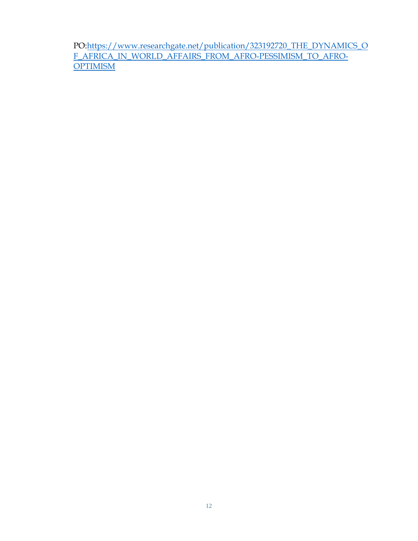PO[:https://www.researchgate.net/publication/323192720\\_THE\\_DYNAMICS\\_O](https://www.researchgate.net/publication/323192720_THE_DYNAMICS_OF_AFRICA_IN_WORLD_AFFAIRS_FROM_AFRO-PESSIMISM_TO_AFRO-OPTIMISM) [F\\_AFRICA\\_IN\\_WORLD\\_AFFAIRS\\_FROM\\_AFRO-PESSIMISM\\_TO\\_AFRO-](https://www.researchgate.net/publication/323192720_THE_DYNAMICS_OF_AFRICA_IN_WORLD_AFFAIRS_FROM_AFRO-PESSIMISM_TO_AFRO-OPTIMISM)**[OPTIMISM](https://www.researchgate.net/publication/323192720_THE_DYNAMICS_OF_AFRICA_IN_WORLD_AFFAIRS_FROM_AFRO-PESSIMISM_TO_AFRO-OPTIMISM)**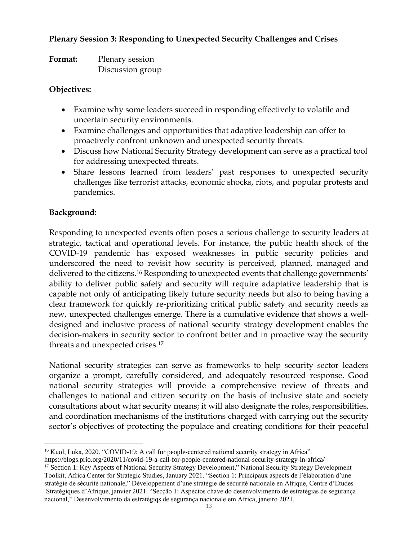### **Plenary Session 3: Responding to Unexpected Security Challenges and Crises**

| <b>Format:</b> | Plenary session  |
|----------------|------------------|
|                | Discussion group |

#### **Objectives:**

- Examine why some leaders succeed in responding effectively to volatile and uncertain security environments.
- Examine challenges and opportunities that adaptive leadership can offer to proactively confront unknown and unexpected security threats.
- Discuss how National Security Strategy development can serve as a practical tool for addressing unexpected threats.
- Share lessons learned from leaders' past responses to unexpected security challenges like terrorist attacks, economic shocks, riots, and popular protests and pandemics.

## **Background:**

Responding to unexpected events often poses a serious challenge to security leaders at strategic, tactical and operational levels. For instance, the public health shock of the COVID-19 pandemic has exposed weaknesses in public security policies and underscored the need to revisit how security is perceived, planned, managed and delivered to the citizens.<sup>16</sup> Responding to unexpected events that challenge governments' ability to deliver public safety and security will require adaptative leadership that is capable not only of anticipating likely future security needs but also to being having a clear framework for quickly re-prioritizing critical public safety and security needs as new, unexpected challenges emerge. There is a cumulative evidence that shows a welldesigned and inclusive process of national security strategy development enables the decision-makers in security sector to confront better and in proactive way the security threats and unexpected crises.<sup>17</sup>

National security strategies can serve as frameworks to help security sector leaders organize a prompt, carefully considered, and adequately resourced response. Good national security strategies will provide a comprehensive review of threats and challenges to national and citizen security on the basis of inclusive state and society consultations about what security means; it will also designate the roles, responsibilities, and coordination mechanisms of the institutions charged with carrying out the security sector's objectives of protecting the populace and creating conditions for their peaceful

<sup>&</sup>lt;sup>16</sup> Kuol, Luka, 2020. "COVID-19: A call for people-centered national security strategy in Africa".

https://blogs.prio.org/2020/11/covid-19-a-call-for-people-centered-national-security-strategy-in-africa/

<sup>&</sup>lt;sup>17</sup> Section 1: Key Aspects of National Security Strategy Development," National Security Strategy Development Toolkit, Africa Center for Strategic Studies, January 2021. "Section 1: Principaux aspects de l'élaboration d'une stratégie de sécurité nationale," Développement d'une stratégie de sécurité nationale en Afrique, Centre d'Etudes Stratégiques d'Afrique, janvier 2021. "Secção 1: Aspectos chave do desenvolvimento de estratégias de segurança nacional," Desenvolvimento da estratégiqs de segurança nacionale em Africa, janeiro 2021.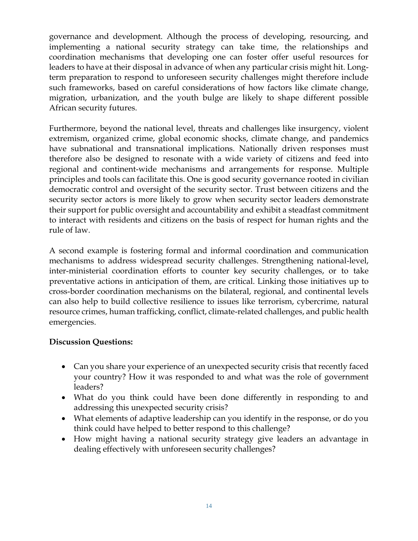governance and development. Although the process of developing, resourcing, and implementing a national security strategy can take time, the relationships and coordination mechanisms that developing one can foster offer useful resources for leaders to have at their disposal in advance of when any particular crisis might hit. Longterm preparation to respond to unforeseen security challenges might therefore include such frameworks, based on careful considerations of how factors like climate change, migration, urbanization, and the youth bulge are likely to shape different possible African security futures.

Furthermore, beyond the national level, threats and challenges like insurgency, violent extremism, organized crime, global economic shocks, climate change, and pandemics have subnational and transnational implications. Nationally driven responses must therefore also be designed to resonate with a wide variety of citizens and feed into regional and continent-wide mechanisms and arrangements for response. Multiple principles and tools can facilitate this. One is good security governance rooted in civilian democratic control and oversight of the security sector. Trust between citizens and the security sector actors is more likely to grow when security sector leaders demonstrate their support for public oversight and accountability and exhibit a steadfast commitment to interact with residents and citizens on the basis of respect for human rights and the rule of law.

A second example is fostering formal and informal coordination and communication mechanisms to address widespread security challenges. Strengthening national-level, inter-ministerial coordination efforts to counter key security challenges, or to take preventative actions in anticipation of them, are critical. Linking those initiatives up to cross-border coordination mechanisms on the bilateral, regional, and continental levels can also help to build collective resilience to issues like terrorism, cybercrime, natural resource crimes, human trafficking, conflict, climate-related challenges, and public health emergencies.

## **Discussion Questions:**

- Can you share your experience of an unexpected security crisis that recently faced your country? How it was responded to and what was the role of government leaders?
- What do you think could have been done differently in responding to and addressing this unexpected security crisis?
- What elements of adaptive leadership can you identify in the response, or do you think could have helped to better respond to this challenge?
- How might having a national security strategy give leaders an advantage in dealing effectively with unforeseen security challenges?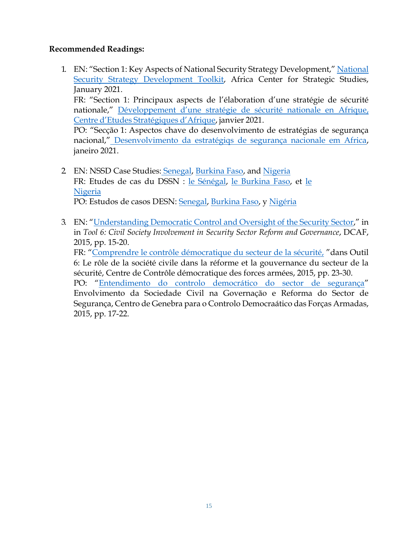#### **Recommended Readings:**

1. EN: "Section 1: Key Aspects of National Security Strategy Development," [National](https://africacenter.org/wp-content/uploads/2021/01/National-Security-Strategy-Development-in-Africa-Toolkit-for-Drafting-and-Consultation-Africa-Center-for-Strategic-Studies.pdf) [Security Strategy Development Toolkit,](https://africacenter.org/wp-content/uploads/2021/01/National-Security-Strategy-Development-in-Africa-Toolkit-for-Drafting-and-Consultation-Africa-Center-for-Strategic-Studies.pdf) Africa Center for Strategic Studies, January 2021.

FR: "Section 1: Principaux aspects de l'élaboration d'une stratégie de sécurité nationale," [Développement d'une stratégie de sécurité nationale en](https://africacenter.org/wp-content/uploads/2021/01/Developpement-dune-strategie-de-securite-nationale-en-Afrique-outil-de-consultation-et-de-redaction-CESA.pdf) [Afrique,](https://africacenter.org/wp-content/uploads/2021/01/Developpement-dune-strategie-de-securite-nationale-en-Afrique-outil-de-consultation-et-de-redaction-CESA.pdf) Centre d'Etudes [Stratégiques](https://africacenter.org/wp-content/uploads/2021/01/Developpement-dune-strategie-de-securite-nationale-en-Afrique-outil-de-consultation-et-de-redaction-CESA.pdf) d'Afrique, janvier 2021.

PO: "Secção 1: Aspectos chave do desenvolvimento de estratégias de segurança nacional," [Desenvolvimento da estratégiqs de segurança nacionale em Africa,](https://africacenter.org/wp-content/uploads/2021/02/Desenvolvimento-da-Estrategias-de-Seguranca-Nacional-em-Africa-Um-kit-de-ferramentas-para-consulta-e-preparacao.pdf) janeiro 2021.

- 2 EN: NSSD Case Studies: [Senegal,](https://africacenter.org/wp-content/uploads/2021/03/2021-NSSD-Case-Study-Senegal-EN.pdf) [Burkina Faso,](https://africacenter.org/wp-content/uploads/2021/01/NSSD-WORKING-DRAFT-BURKINA-FASO-EN-Jan-18.pdf) and [Nigeria](https://africacenter.org/wp-content/uploads/2021/01/NSSD-WORKING-DRAFT-NIGERIA-EN.pdf) FR: Etudes de cas du DSSN : [le Sénégal,](https://africacenter.org/wp-content/uploads/2021/03/2021-NSSD-Case-Study-Senegal-FR.pdf) [le Burkina Faso,](https://africacenter.org/wp-content/uploads/2021/01/NSSD-WORKING-DRAFT-BURKINA-FASO-FR.pdf) et [le](https://africacenter.org/wp-content/uploads/2021/01/NSSD-WORKING-DRAFT-NIGERIA-FR.pdf)  [Nigeria](https://africacenter.org/wp-content/uploads/2021/01/NSSD-WORKING-DRAFT-NIGERIA-FR.pdf) PO: Estudos de casos DESN: [Senegal,](https://africacenter.org/wp-content/uploads/2021/03/2021-NSSD-Case-Study-Senegal-PT.pdf) [Burkina](https://africacenter.org/wp-content/uploads/2021/01/NSSD-WORKING-DRAFT-BURKINA-FASO-PT-Jan-18.pdf) Faso, y [Nigéria](https://africacenter.org/wp-content/uploads/2021/01/NSSD-WORKING-DRAFT-NIGERIA-PT.pdf)
- 3. EN: "[Understanding Democratic Control and Oversight of the Security Sector](https://dcaf.ch/sites/default/files/publications/documents/SSR_toolkit-T6-EN-FINAL.pdf)," in in *Tool 6: Civil Society Involvement in Security Sector Reform and Governance*, DCAF, 2015, pp. 15-20. FR: "[Comprendre le contrôle démocratique du secteur de la sécurité,](https://issat.dcaf.ch/fre/download/104807/1875948/SSRG-West-Africa-Toolkit-Tool-6-FR.pdf) "dans Outil 6: Le rôle de la société civile dans la réforme et la gouvernance du secteur de la sécurité, Centre de Contrôle démocratique des forces armées, 2015, pp. 23-30. PO: "[Entendimento do controlo democrático do sector de segurança](https://issat.dcaf.ch/download/104813/1875986/SSRG-West-Africa-Toolkit-Tool-6-PO.pdf)"

Envolvimento da Sociedade Civil na Governação e Reforma do Sector de Segurança, Centro de Genebra para o Controlo Democraático das Forças Armadas, 2015, pp. 17-22.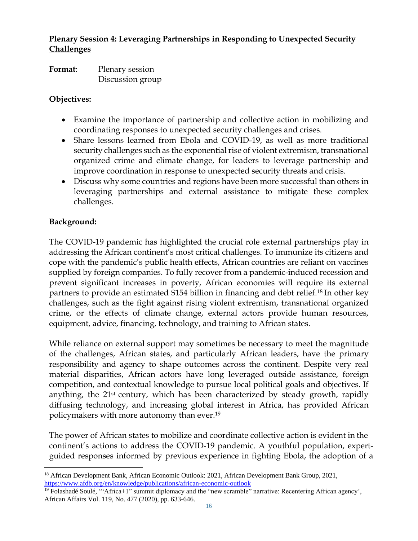# **Plenary Session 4: Leveraging Partnerships in Responding to Unexpected Security Challenges**

| Format: | Plenary session  |
|---------|------------------|
|         | Discussion group |

#### **Objectives:**

- Examine the importance of partnership and collective action in mobilizing and coordinating responses to unexpected security challenges and crises.
- Share lessons learned from Ebola and COVID-19, as well as more traditional security challenges such as the exponential rise of violent extremism, transnational organized crime and climate change, for leaders to leverage partnership and improve coordination in response to unexpected security threats and crisis.
- Discuss why some countries and regions have been more successful than others in leveraging partnerships and external assistance to mitigate these complex challenges.

# **Background:**

The COVID-19 pandemic has highlighted the crucial role external partnerships play in addressing the African continent's most critical challenges. To immunize its citizens and cope with the pandemic's public health effects, African countries are reliant on vaccines supplied by foreign companies. To fully recover from a pandemic-induced recession and prevent significant increases in poverty, African economies will require its external partners to provide an estimated \$154 billion in financing and debt relief.<sup>18</sup> In other key challenges, such as the fight against rising violent extremism, transnational organized crime, or the effects of climate change, external actors provide human resources, equipment, advice, financing, technology, and training to African states.

While reliance on external support may sometimes be necessary to meet the magnitude of the challenges, African states, and particularly African leaders, have the primary responsibility and agency to shape outcomes across the continent. Despite very real material disparities, African actors have long leveraged outside assistance, foreign competition, and contextual knowledge to pursue local political goals and objectives. If anything, the 21<sup>st</sup> century, which has been characterized by steady growth, rapidly diffusing technology, and increasing global interest in Africa, has provided African policymakers with more autonomy than ever.<sup>19</sup>

The power of African states to mobilize and coordinate collective action is evident in the continent's actions to address the COVID-19 pandemic. A youthful population, expertguided responses informed by previous experience in fighting Ebola, the adoption of a

<sup>18</sup> African Development Bank, African Economic Outlook: 2021, African Development Bank Group, 2021, <https://www.afdb.org/en/knowledge/publications/african-economic-outlook>

<sup>&</sup>lt;sup>19</sup> Folashadé Soulé, "Africa+1" summit diplomacy and the "new scramble" narrative: Recentering African agency', African Affairs Vol. 119, No. 477 (2020), pp. 633-646.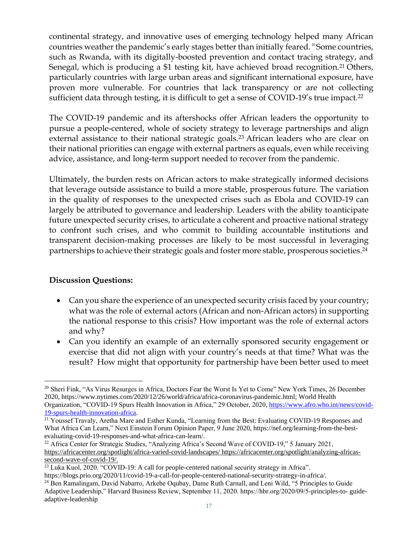continental strategy, and innovative uses of emerging technology helped many African countries weather the pandemic's early stages better than initially feared. <sup>20</sup> Some countries, such as Rwanda, with its digitally-boosted prevention and contact tracing strategy, and Senegal, which is producing a \$1 testing kit, have achieved broad recognition.<sup>21</sup> Others, particularly countries with large urban areas and significant international exposure, have proven more vulnerable. For countries that lack transparency or are not collecting sufficient data through testing, it is difficult to get a sense of COVID-19's true impact.<sup>22</sup>

The COVID-19 pandemic and its aftershocks offer African leaders the opportunity to pursue a people-centered, whole of society strategy to leverage partnerships and align external assistance to their national strategic goals.<sup>23</sup> African leaders who are clear on their national priorities can engage with external partners as equals, even while receiving advice, assistance, and long-term support needed to recover from the pandemic.

Ultimately, the burden rests on African actors to make strategically informed decisions that leverage outside assistance to build a more stable, prosperous future. The variation in the quality of responses to the unexpected crises such as Ebola and COVID-19 can largely be attributed to governance and leadership. Leaders with the ability toanticipate future unexpected security crises, to articulate a coherent and proactive national strategy to confront such crises, and who commit to building accountable institutions and transparent decision-making processes are likely to be most successful in leveraging partnerships to achieve their strategic goals and foster more stable, prosperous societies.<sup>24</sup>

## **Discussion Questions:**

- Can you share the experience of an unexpected security crisis faced by your country; what was the role of external actors (African and non-African actors) in supporting the national response to this crisis? How important was the role of external actors and why?
- Can you identify an example of an externally sponsored security engagement or exercise that did not align with your country's needs at that time? What was the result? How might that opportunity for partnership have been better used to meet

<sup>&</sup>lt;sup>20</sup> Sheri Fink, "As Virus Resurges in Africa, Doctors Fear the Worst Is Yet to Come" New York Times, 26 December 2020, https://www.nytimes.com/2020/12/26/world/africa/africa-coronavirus-pandemic.html; World Health Organization, "COVID-19 Spurs Health Innovation in Africa," 29 October, 2020, [https://www.afro.who.int/news/covid-](https://www.afro.who.int/news/covid-19-spurs-health-innovation-africa)[19-spurs-health-innovation-africa.](https://www.afro.who.int/news/covid-19-spurs-health-innovation-africa)

<sup>&</sup>lt;sup>21</sup> Youssef Travaly, Aretha Mare and Esther Kunda, "Learning from the Best: Evaluating COVID-19 Responses and What Africa Can Learn," Next Einstein Forum Opinion Paper, 9 June 2020, https://nef.org/learning-from-the-bestevaluating-covid-19-responses-and-what-africa-can-learn/.

<sup>&</sup>lt;sup>22</sup> Africa Center for Strategic Studies, "Analyzing Africa's Second Wave of COVID-19," 5 January 2021, [https://africacenter.org/spotlight/africa-varied-covid-landscapes/ h](https://africacenter.org/spotlight/africa-varied-covid-landscapes/)ttps://africacenter.org/spotlight/analyzing-africassecond-wave-of-covid-19/.

<sup>&</sup>lt;sup>23</sup> Luka Kuol, 2020. "COVID-19: A call for people-centered national security strategy in Africa".

https://blogs.prio.org/2020/11/covid-19-a-call-for-people-centered-national-security-strategy-in-africa/.

<sup>&</sup>lt;sup>24</sup> Ben Ramalingam, David Nabarro, Arkebe Oqubay, Dame Ruth Carnall, and Leni Wild, "5 Principles to Guide Adaptive Leadership," Harvard Business Review, September 11, 2020. https://hbr.org/2020/09/5-principles-to- guideadaptive-leadership